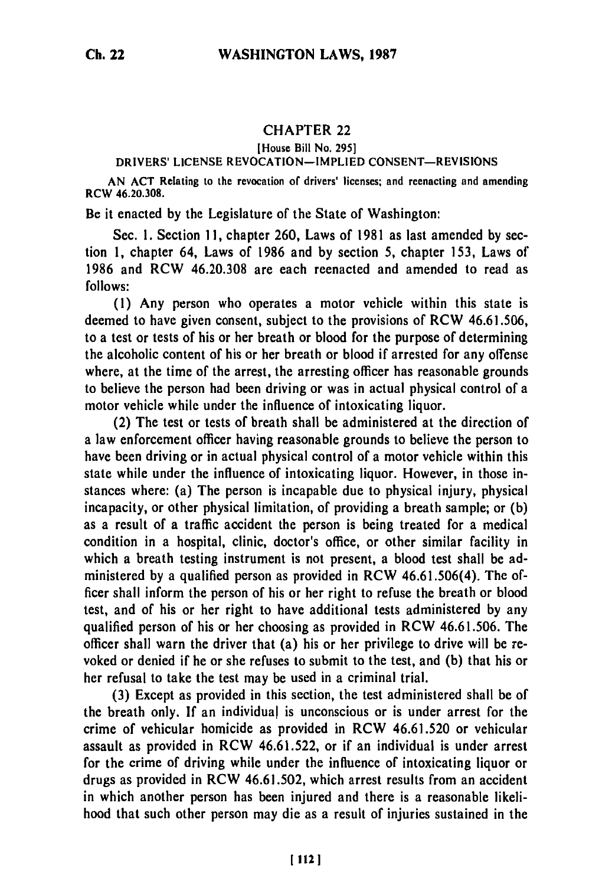# CHAPTER 22

## [House Bill No. **295]**

### DRIVERS' LICENSE REVOCATION-IMPLIED **CONSENT-REVISIONS**

**AN ACT** Relating to the revocation of drivers' licenses; and reenacting and amending **RCW 46.20.308.**

Be it enacted **by** the Legislature of the State of Washington:

Sec. **1.** Section **11,** chapter **260,** Laws of **1981** as last amended **by** section **1,** chapter 64, Laws of **1986** and **by** section **5,** chapter **153,** Laws of **1986** and RCW **46.20.308** are each reenacted and amended to read as **follows:**

**(1)** Any person who operates a motor vehicle within this state is deemed to have given consent, subject to the provisions of RCW **46.61.506,** to a test or tests of his or her breath or blood for the purpose of determining the alcoholic content of his or her breath or blood if arrested for any offense where, at the time of the arrest, the arresting officer has reasonable grounds to believe the person had been driving or was in actual physical control of a motor vehicle while under the influence of intoxicating liquor.

(2) The test or tests of breath shall be administered at the direction of a law enforcement officer having reasonable grounds to believe the person to have been driving or in actual physical control of a motor vehicle within this state while under the influence of intoxicating liquor. However, in those instances where: (a) The person is incapable due to physical injury, physical incapacity, or other physical limitation, of providing a breath sample; or **(b)** as a result of a traffic accident the person is being treated for a medical condition in a hospital, clinic, doctor's office, or other similar facility in which a breath testing instrument is not present, a blood test shall be administered **by** a qualified person as provided in RCW 46.61.506(4). The officer shall inform the person of his or her right to refuse the breath or blood test, and of his or her right to have additional tests administered **by** any qualified person of his or her choosing as provided in RCW **46.61.506.** The officer shall warn the driver that (a) his or her privilege to drive will be revoked or denied if he or she refuses to submit to the test, and **(b)** that his or her refusal to take the test may be used in a criminal trial.

**(3)** Except as provided in this section, the test administered shall be of the breath only. **If** an individual is unconscious or is under arrest for the crime of vehicular homicide as provided in RCW **46.61.520** or vehicular assault as provided in RCW **46.61.522,** or if an individual is under arrest for the crime of driving while under the influence of intoxicating liquor or drugs as provided in RCW **46.61.502,** which arrest results from an accident in which another person has been injured and there is a reasonable likelihood that such other person may die as a result of injuries sustained in the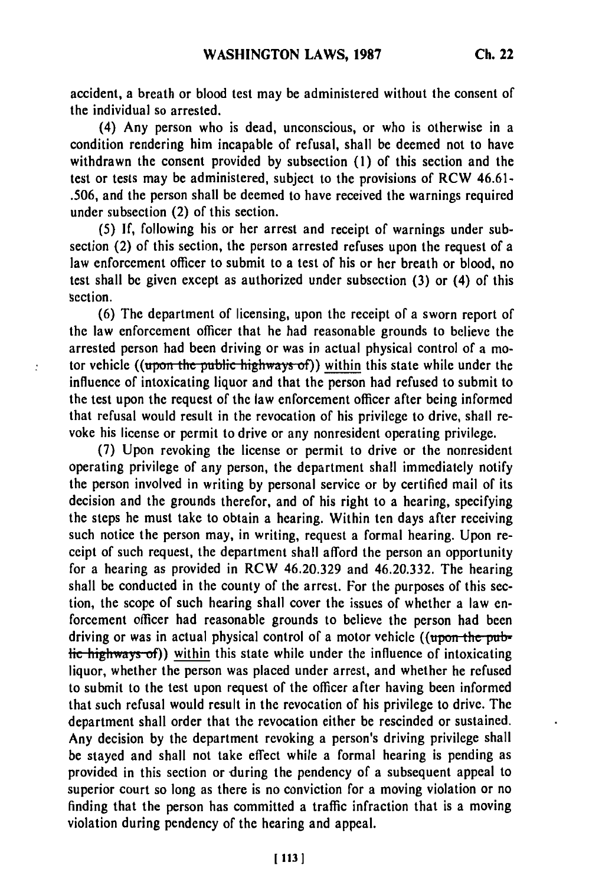accident, a breath or blood test may be administered without the consent of the individual so arrested.

(4) Any person who is dead, unconscious, or who is otherwise in a condition rendering him incapable of refusal, shall be deemed not to have withdrawn the consent provided **by** subsection **(1)** of this section and the test or tests may be administered, subject to the provisions of RCW 46.61- **.506,** and the person shall be deemed to have received the warnings required under subsection (2) of this section.

**(5) If,** following his or her arrest and receipt of warnings under subsection (2) of this section, the person arrested refuses upon the request of a law enforcement officer to submit to a test of his or her breath or blood, no test shall be given except as authorized under subsection **(3)** or (4) of this section.

**(6)** The department of licensing, upon the receipt of a sworn report of the law enforcement officer that he had reasonable grounds to believe the arrested person had been driving or was in actual physical control of a motor vehicle ((upon the public highways of)) within this state while under the influence of intoxicating liquor and that the person had refused to submit to the test upon the request of the law enforcement officer after being informed that refusal would result in the revocation of his privilege to drive, shall revoke his license or permit to drive or any nonresident operating privilege.

 $\mathbf{.}^{\bullet}$ 

(7) Upon revoking the license or permit to drive or the nonresident operating privilege of any person, the department shall immediately notify the person involved in writing by personal service or by certified mail of its decision and the grounds therefor, and of his right to a hearing, specifying the steps he must take to obtain a hearing. Within ten days after receiving such notice the person may, in writing, request a formal hearing. Upon receipt of such request, the department shall afford the person an opportunity for a hearing as provided in RCW 46.20.329 and 46.20.332. The hearing shall be conducted in the county of the arrest. For the purposes of this section, the scope of such hearing shall cover the issues of whether a law enforcement officer had reasonable grounds to believe the person had been driving or was in actual physical control of a motor vehicle ((upon the pub-H<sub>ighway</sub>, of)) within this state while under the influence of intoxicating liquor, whether the person was placed under arrest, and whether he refused to submit to the test upon request of the officer after having been informed that such refusal would result in the revocation of his privilege to drive. The department shall order that the revocation either be rescinded or sustained. Any decision by the department revoking a person's driving privilege shall be stayed and shall not take effect while a formal hearing is pending as provided in this section or during the pendency of a subsequent appeal to superior court so long as there is no conviction for a moving violation or no finding that the person has committed a traffic infraction that is a moving violation during pendency of the hearing and appeal.